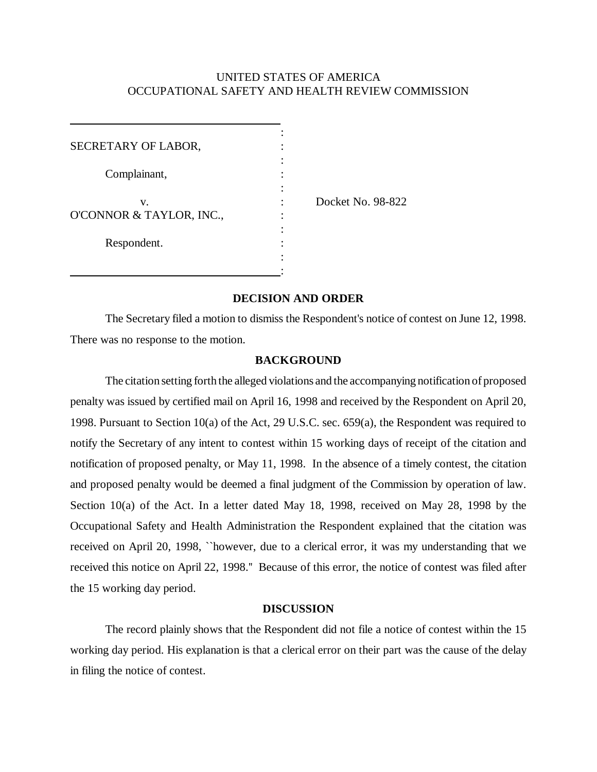## UNITED STATES OF AMERICA OCCUPATIONAL SAFETY AND HEALTH REVIEW COMMISSION

| SECRETARY OF LABOR,            |  |                   |
|--------------------------------|--|-------------------|
| Complainant,                   |  |                   |
| v.<br>O'CONNOR & TAYLOR, INC., |  | Docket No. 98-822 |
| Respondent.                    |  |                   |

# **DECISION AND ORDER**

The Secretary filed a motion to dismiss the Respondent's notice of contest on June 12, 1998. There was no response to the motion.

#### **BACKGROUND**

The citation setting forth the alleged violations and the accompanying notification of proposed penalty was issued by certified mail on April 16, 1998 and received by the Respondent on April 20, 1998. Pursuant to Section 10(a) of the Act, 29 U.S.C. sec. 659(a), the Respondent was required to notify the Secretary of any intent to contest within 15 working days of receipt of the citation and notification of proposed penalty, or May 11, 1998. In the absence of a timely contest, the citation and proposed penalty would be deemed a final judgment of the Commission by operation of law. Section 10(a) of the Act. In a letter dated May 18, 1998, received on May 28, 1998 by the Occupational Safety and Health Administration the Respondent explained that the citation was received on April 20, 1998, ``however, due to a clerical error, it was my understanding that we received this notice on April 22, 1998.'' Because of this error, the notice of contest was filed after the 15 working day period.

#### **DISCUSSION**

The record plainly shows that the Respondent did not file a notice of contest within the 15 working day period. His explanation is that a clerical error on their part was the cause of the delay in filing the notice of contest.